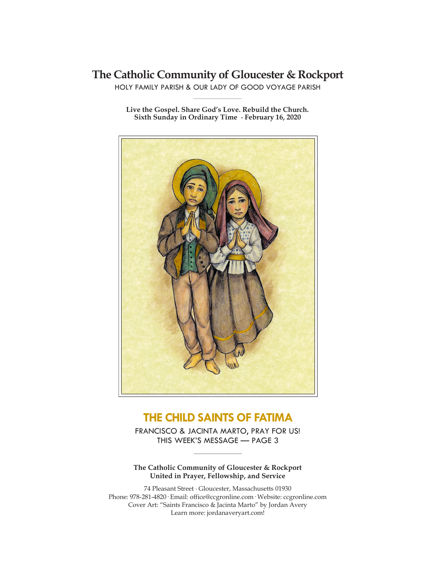# **The Catholic Community of Gloucester & Rockport**

HOLY FAMILY PARISH & OUR LADY OF GOOD VOYAGE PARISH **\_\_\_\_\_\_\_\_\_\_\_\_\_\_\_\_\_\_\_\_\_\_\_\_\_\_\_\_\_**

**Live the Gospel. Share God's Love. Rebuild the Church. Sixth Sunday in Ordinary Time ∙ February 16, 2020**



# **THE CHILD SAINTS OF FATIMA**

FRANCISCO & JACINTA MARTO, PRAY FOR US! THIS WEEK'S MESSAGE — PAGE 3

**\_\_\_\_\_\_\_\_\_\_\_\_\_\_\_\_\_\_\_\_\_\_\_\_\_\_\_\_\_**

**The Catholic Community of Gloucester & Rockport United in Prayer, Fellowship, and Service**

74 Pleasant Street ∙ Gloucester, Massachusetts 01930 Phone: 978-281-4820· Email: office@ccgronline.com· Website: ccgronline.com Cover Art: "Saints Francisco & Jacinta Marto" by Jordan Avery Learn more: jordanaveryart.com!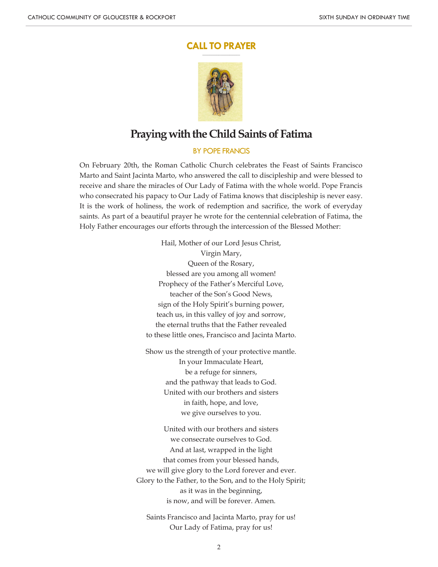#### **CALL TO PRAYER \_\_\_\_\_\_\_\_\_\_\_\_\_\_\_\_\_\_\_\_\_**



# **Praying with the Child Saints of Fatima**

## BY POPE FRANCIS

On February 20th, the Roman Catholic Church celebrates the Feast of Saints Francisco Marto and Saint Jacinta Marto, who answered the call to discipleship and were blessed to receive and share the miracles of Our Lady of Fatima with the whole world. Pope Francis who consecrated his papacy to Our Lady of Fatima knows that discipleship is never easy. It is the work of holiness, the work of redemption and sacrifice, the work of everyday saints. As part of a beautiful prayer he wrote for the centennial celebration of Fatima, the Holy Father encourages our efforts through the intercession of the Blessed Mother:

> Hail, Mother of our Lord Jesus Christ, Virgin Mary, Queen of the Rosary, blessed are you among all women! Prophecy of the Father's Merciful Love, teacher of the Son's Good News, sign of the Holy Spirit's burning power, teach us, in this valley of joy and sorrow, the eternal truths that the Father revealed to these little ones, Francisco and Jacinta Marto.

> Show us the strength of your protective mantle. In your Immaculate Heart, be a refuge for sinners, and the pathway that leads to God. United with our brothers and sisters in faith, hope, and love, we give ourselves to you.

United with our brothers and sisters we consecrate ourselves to God. And at last, wrapped in the light that comes from your blessed hands, we will give glory to the Lord forever and ever. Glory to the Father, to the Son, and to the Holy Spirit; as it was in the beginning, is now, and will be forever. Amen.

Saints Francisco and Jacinta Marto, pray for us! Our Lady of Fatima, pray for us!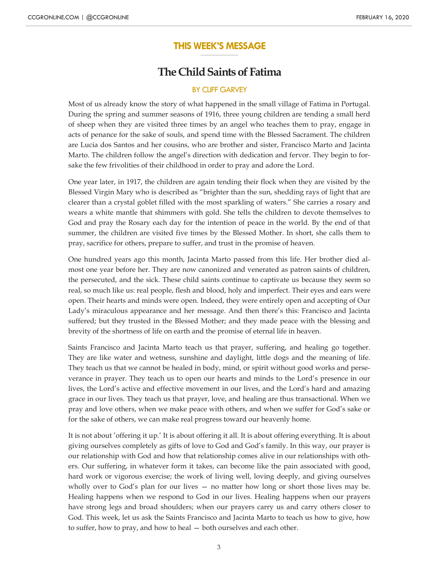#### **THIS WEEK'S MESSAGE \_\_\_\_\_\_\_\_\_\_\_\_\_\_\_\_\_\_\_\_\_**

## **The Child Saints of Fatima**

#### BY CLIFF GARVEY

Most of us already know the story of what happened in the small village of Fatima in Portugal. During the spring and summer seasons of 1916, three young children are tending a small herd of sheep when they are visited three times by an angel who teaches them to pray, engage in acts of penance for the sake of souls, and spend time with the Blessed Sacrament. The children are Lucia dos Santos and her cousins, who are brother and sister, Francisco Marto and Jacinta Marto. The children follow the angel's direction with dedication and fervor. They begin to forsake the few frivolities of their childhood in order to pray and adore the Lord.

One year later, in 1917, the children are again tending their flock when they are visited by the Blessed Virgin Mary who is described as "brighter than the sun, shedding rays of light that are clearer than a crystal goblet filled with the most sparkling of waters." She carries a rosary and wears a white mantle that shimmers with gold. She tells the children to devote themselves to God and pray the Rosary each day for the intention of peace in the world. By the end of that summer, the children are visited five times by the Blessed Mother. In short, she calls them to pray, sacrifice for others, prepare to suffer, and trust in the promise of heaven.

One hundred years ago this month, Jacinta Marto passed from this life. Her brother died almost one year before her. They are now canonized and venerated as patron saints of children, the persecuted, and the sick. These child saints continue to captivate us because they seem so real, so much like us: real people, flesh and blood, holy and imperfect. Their eyes and ears were open. Their hearts and minds were open. Indeed, they were entirely open and accepting of Our Lady's miraculous appearance and her message. And then there's this: Francisco and Jacinta suffered; but they trusted in the Blessed Mother; and they made peace with the blessing and brevity of the shortness of life on earth and the promise of eternal life in heaven.

Saints Francisco and Jacinta Marto teach us that prayer, suffering, and healing go together. They are like water and wetness, sunshine and daylight, little dogs and the meaning of life. They teach us that we cannot be healed in body, mind, or spirit without good works and perseverance in prayer. They teach us to open our hearts and minds to the Lord's presence in our lives, the Lord's active and effective movement in our lives, and the Lord's hard and amazing grace in our lives. They teach us that prayer, love, and healing are thus transactional. When we pray and love others, when we make peace with others, and when we suffer for God's sake or for the sake of others, we can make real progress toward our heavenly home.

It is not about 'offering it up.' It is about offering it all. It is about offering everything. It is about giving ourselves completely as gifts of love to God and God's family. In this way, our prayer is our relationship with God and how that relationship comes alive in our relationships with others. Our suffering, in whatever form it takes, can become like the pain associated with good, hard work or vigorous exercise; the work of living well, loving deeply, and giving ourselves wholly over to God's plan for our lives — no matter how long or short those lives may be. Healing happens when we respond to God in our lives. Healing happens when our prayers have strong legs and broad shoulders; when our prayers carry us and carry others closer to God. This week, let us ask the Saints Francisco and Jacinta Marto to teach us how to give, how to suffer, how to pray, and how to heal — both ourselves and each other.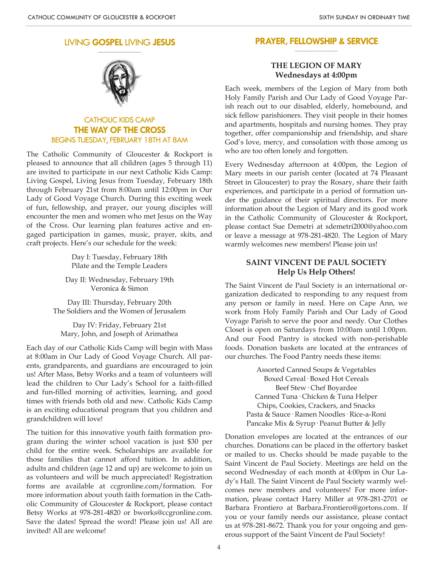#### LIVING **GOSPEL** LIVING **JESUS \_\_\_\_\_\_\_\_\_\_\_\_\_\_\_\_\_\_\_\_**



## CATHOLIC KIDS CAMP **THE WAY OF THE CROSS** BEGINS TUESDAY, FEBRUARY 18TH AT 8AM

The Catholic Community of Gloucester & Rockport is pleased to announce that all children (ages 5 through 11) are invited to participate in our next Catholic Kids Camp: Living Gospel, Living Jesus from Tuesday, February 18th through February 21st from 8:00am until 12:00pm in Our Lady of Good Voyage Church. During this exciting week of fun, fellowship, and prayer, our young disciples will encounter the men and women who met Jesus on the Way of the Cross. Our learning plan features active and engaged participation in games, music, prayer, skits, and craft projects. Here's our schedule for the week:

> Day I: Tuesday, February 18th Pilate and the Temple Leaders

Day II: Wednesday, February 19th Veronica & Simon

Day III: Thursday, February 20th The Soldiers and the Women of Jerusalem

Day IV: Friday, February 21st Mary, John, and Joseph of Arimathea

Each day of our Catholic Kids Camp will begin with Mass at 8:00am in Our Lady of Good Voyage Church. All parents, grandparents, and guardians are encouraged to join us! After Mass, Betsy Works and a team of volunteers will lead the children to Our Lady's School for a faith-filled and fun-filled morning of activities, learning, and good times with friends both old and new. Catholic Kids Camp is an exciting educational program that you children and grandchildren will love!

The tuition for this innovative youth faith formation program during the winter school vacation is just \$30 per child for the entire week. Scholarships are available for those families that cannot afford tuition. In addition, adults and children (age 12 and up) are welcome to join us as volunteers and will be much appreciated! Registration forms are available at ccgronline.com/formation. For more information about youth faith formation in the Catholic Community of Gloucester & Rockport, please contact Betsy Works at 978-281-4820 or bworks@ccgronline.com. Save the dates! Spread the word! Please join us! All are invited! All are welcome!

#### **PRAYER, FELLOWSHIP & SERVICE \_\_\_\_\_\_\_\_\_\_\_\_\_\_\_\_\_\_\_\_**

### **THE LEGION OF MARY Wednesdays at 4:00pm**

Each week, members of the Legion of Mary from both Holy Family Parish and Our Lady of Good Voyage Parish reach out to our disabled, elderly, homebound, and sick fellow parishioners. They visit people in their homes and apartments, hospitals and nursing homes. They pray together, offer companionship and friendship, and share God's love, mercy, and consolation with those among us who are too often lonely and forgotten.

Every Wednesday afternoon at 4:00pm, the Legion of Mary meets in our parish center (located at 74 Pleasant Street in Gloucester) to pray the Rosary, share their faith experiences, and participate in a period of formation under the guidance of their spiritual directors. For more information about the Legion of Mary and its good work in the Catholic Community of Gloucester & Rockport, please contact Sue Demetri at sdemetri2000@yahoo.com or leave a message at 978-281-4820. The Legion of Mary warmly welcomes new members! Please join us!

### **SAINT VINCENT DE PAUL SOCIETY Help Us Help Others!**

The Saint Vincent de Paul Society is an international organization dedicated to responding to any request from any person or family in need. Here on Cape Ann, we work from Holy Family Parish and Our Lady of Good Voyage Parish to serve the poor and needy. Our Clothes Closet is open on Saturdays from 10:00am until 1:00pm. And our Food Pantry is stocked with non-perishable foods. Donation baskets are located at the entrances of our churches. The Food Pantry needs these items:

> Assorted Canned Soups & Vegetables Boxed Cereal· Boxed Hot Cereals Beef Stew· Chef Boyardee Canned Tuna· Chicken & Tuna Helper Chips, Cookies, Crackers, and Snacks Pasta & Sauce· Ramen Noodles· Rice-a-Roni Pancake Mix & Syrup· Peanut Butter & Jelly

Donation envelopes are located at the entrances of our churches. Donations can be placed in the offertory basket or mailed to us. Checks should be made payable to the Saint Vincent de Paul Society. Meetings are held on the second Wednesday of each month at 4:00pm in Our Lady's Hall. The Saint Vincent de Paul Society warmly welcomes new members and volunteers! For more information, please contact Harry Miller at 978-281-2701 or Barbara Frontiero at Barbara.Frontiero@gortons.com. If you or your family needs our assistance, please contact us at 978-281-8672. Thank you for your ongoing and generous support of the Saint Vincent de Paul Society!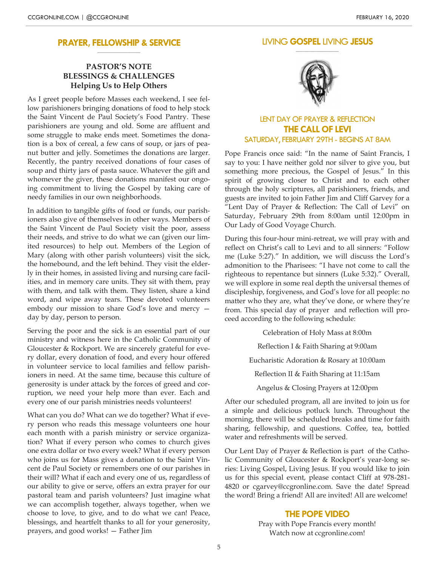#### **PRAYER, FELLOWSHIP & SERVICE \_\_\_\_\_\_\_\_\_\_\_\_\_\_\_\_\_\_\_\_**

## **PASTOR'S NOTE BLESSINGS & CHALLENGES Helping Us to Help Others**

As I greet people before Masses each weekend, I see fellow parishioners bringing donations of food to help stock the Saint Vincent de Paul Society's Food Pantry. These parishioners are young and old. Some are affluent and some struggle to make ends meet. Sometimes the donation is a box of cereal, a few cans of soup, or jars of peanut butter and jelly. Sometimes the donations are larger. Recently, the pantry received donations of four cases of soup and thirty jars of pasta sauce. Whatever the gift and whomever the giver, these donations manifest our ongoing commitment to living the Gospel by taking care of needy families in our own neighborhoods.

In addition to tangible gifts of food or funds, our parishioners also give of themselves in other ways. Members of the Saint Vincent de Paul Society visit the poor, assess their needs, and strive to do what we can (given our limited resources) to help out. Members of the Legion of Mary (along with other parish volunteers) visit the sick, the homebound, and the left behind. They visit the elderly in their homes, in assisted living and nursing care facilities, and in memory care units. They sit with them, pray with them, and talk with them. They listen, share a kind word, and wipe away tears. These devoted volunteers embody our mission to share God's love and mercy day by day, person to person.

Serving the poor and the sick is an essential part of our ministry and witness here in the Catholic Community of Gloucester & Rockport. We are sincerely grateful for every dollar, every donation of food, and every hour offered in volunteer service to local families and fellow parishioners in need. At the same time, because this culture of generosity is under attack by the forces of greed and corruption, we need your help more than ever. Each and every one of our parish ministries needs volunteers!

What can you do? What can we do together? What if every person who reads this message volunteers one hour each month with a parish ministry or service organization? What if every person who comes to church gives one extra dollar or two every week? What if every person who joins us for Mass gives a donation to the Saint Vincent de Paul Society or remembers one of our parishes in their will? What if each and every one of us, regardless of our ability to give or serve, offers an extra prayer for our pastoral team and parish volunteers? Just imagine what we can accomplish together, always together, when we choose to love, to give, and to do what we can! Peace, blessings, and heartfelt thanks to all for your generosity, prayers, and good works! — Father Jim

#### LIVING **GOSPEL** LIVING **JESUS \_\_\_\_\_\_\_\_\_\_\_\_\_\_\_\_\_\_\_\_**



## LENT DAY OF PRAYER & REFLECTION **THE CALL OF LEVI** SATURDAY, FEBRUARY 29TH - BEGINS AT 8AM

Pope Francis once said: "In the name of Saint Francis, I say to you: I have neither gold nor silver to give you, but something more precious, the Gospel of Jesus." In this spirit of growing closer to Christ and to each other through the holy scriptures, all parishioners, friends, and guests are invited to join Father Jim and Cliff Garvey for a "Lent Day of Prayer & Reflection: The Call of Levi" on Saturday, February 29th from 8:00am until 12:00pm in Our Lady of Good Voyage Church.

During this four-hour mini-retreat, we will pray with and reflect on Christ's call to Levi and to all sinners: "Follow me (Luke 5:27)." In addition, we will discuss the Lord's admonition to the Pharisees: "I have not come to call the righteous to repentance but sinners (Luke 5:32)." Overall, we will explore in some real depth the universal themes of discipleship, forgiveness, and God's love for all people: no matter who they are, what they've done, or where they're from. This special day of prayer and reflection will proceed according to the following schedule:

Celebration of Holy Mass at 8:00m Reflection I & Faith Sharing at 9:00am Eucharistic Adoration & Rosary at 10:00am Reflection II & Faith Sharing at 11:15am Angelus & Closing Prayers at 12:00pm After our scheduled program, all are invited to join us for

a simple and delicious potluck lunch. Throughout the morning, there will be scheduled breaks and time for faith sharing, fellowship, and questions. Coffee, tea, bottled water and refreshments will be served.

Our Lent Day of Prayer & Reflection is part of the Catholic Community of Gloucester & Rockport's year-long series: Living Gospel, Living Jesus. If you would like to join us for this special event, please contact Cliff at 978-281- 4820 or cgarvey@ccgronline.com. Save the date! Spread the word! Bring a friend! All are invited! All are welcome!

### **THE POPE VIDEO**

Pray with Pope Francis every month! Watch now at ccgronline.com!